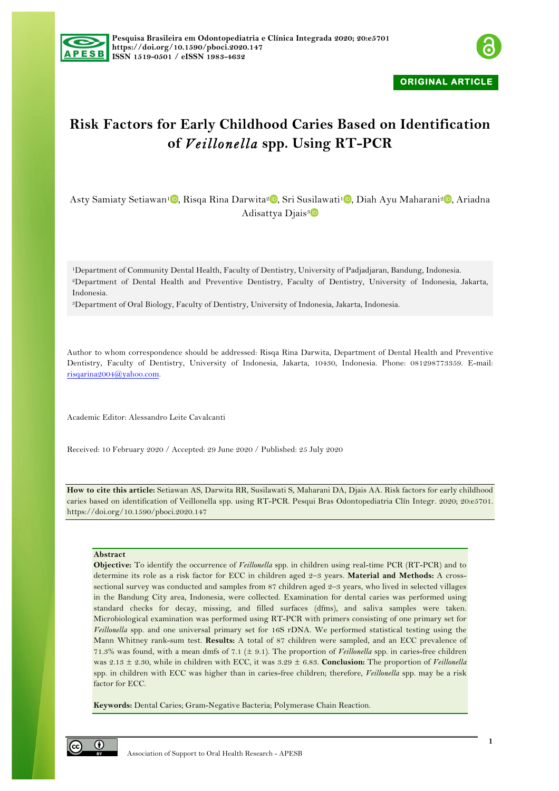



# **Risk Factors for Early Childhood Caries Based on Identification of** *Veillonella* **spp. Using RT-PCR**

Asty Samiaty Setiawan<sup>1</sup><sup>D</sup>, Risqa Rina Darwita<sup>2</sup><sup>D</sup>, Sri Susilawati<sup>1</sup>D, Diah Ayu Maharani<sup>2</sup><sup>D</sup>, Ariadna Adisattya Djais3

1Department of Community Dental Health, Faculty of Dentistry, University of Padjadjaran, Bandung, Indonesia. 2Department of Dental Health and Preventive Dentistry, Faculty of Dentistry, University of Indonesia, Jakarta, Indonesia.

3Department of Oral Biology, Faculty of Dentistry, University of Indonesia, Jakarta, Indonesia.

Author to whom correspondence should be addressed: Risqa Rina Darwita, Department of Dental Health and Preventive Dentistry, Faculty of Dentistry, University of Indonesia, Jakarta, 10430, Indonesia. Phone: 081298773359. E-mail: risqarina2004@yahoo.com.

Academic Editor: Alessandro Leite Cavalcanti

Received: 10 February 2020 / Accepted: 29 June 2020 / Published: 25 July 2020

**How to cite this article:** Setiawan AS, Darwita RR, Susilawati S, Maharani DA, Djais AA. Risk factors for early childhood caries based on identification of Veillonella spp. using RT-PCR. Pesqui Bras Odontopediatria Clín Integr. 2020; 20:e5701. https://doi.org/10.1590/pboci.2020.147

# **Abstract**

**Objective:** To identify the occurrence of *Veillonella* spp. in children using real-time PCR (RT-PCR) and to determine its role as a risk factor for ECC in children aged 2–3 years. **Material and Methods:** A crosssectional survey was conducted and samples from 87 children aged 2–3 years, who lived in selected villages in the Bandung City area, Indonesia, were collected. Examination for dental caries was performed using standard checks for decay, missing, and filled surfaces (dfms), and saliva samples were taken. Microbiological examination was performed using RT-PCR with primers consisting of one primary set for *Veillonella* spp. and one universal primary set for 16S rDNA. We performed statistical testing using the Mann Whitney rank-sum test. **Results:** A total of 87 children were sampled, and an ECC prevalence of 71.3% was found, with a mean dmfs of 7.1 (± 9.1). The proportion of *Veillonella* spp. in caries-free children was 2.13 ± 2.30, while in children with ECC, it was 3.29 ± 6.83. **Conclusion:** The proportion of *Veillonella* spp. in children with ECC was higher than in caries-free children; therefore, *Veillonella* spp. may be a risk factor for ECC.

**Keywords:** Dental Caries; Gram-Negative Bacteria; Polymerase Chain Reaction.

0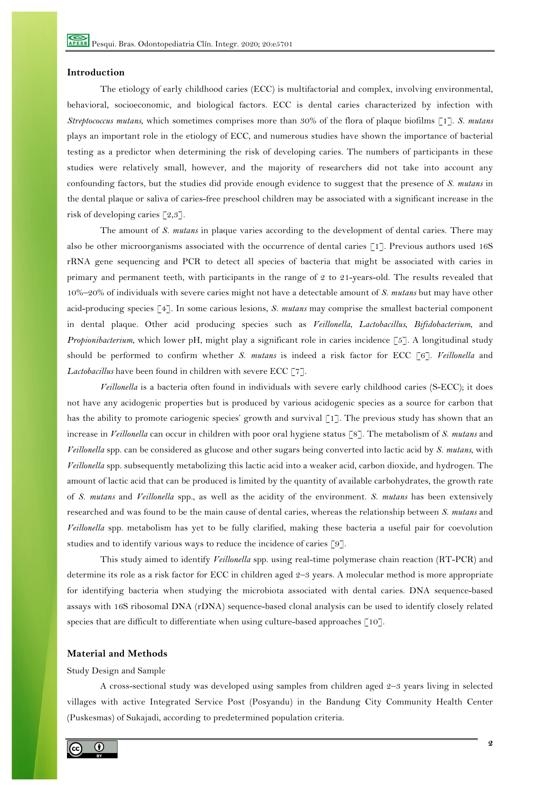### **Introduction**

The etiology of early childhood caries (ECC) is multifactorial and complex, involving environmental, behavioral, socioeconomic, and biological factors. ECC is dental caries characterized by infection with *Streptococcus mutans*, which sometimes comprises more than 30% of the flora of plaque biofilms [1]. *S. mutans* plays an important role in the etiology of ECC, and numerous studies have shown the importance of bacterial testing as a predictor when determining the risk of developing caries. The numbers of participants in these studies were relatively small, however, and the majority of researchers did not take into account any confounding factors, but the studies did provide enough evidence to suggest that the presence of *S*. *mutans* in the dental plaque or saliva of caries-free preschool children may be associated with a significant increase in the risk of developing caries [2,3].

The amount of *S. mutans* in plaque varies according to the development of dental caries. There may also be other microorganisms associated with the occurrence of dental caries [1]. Previous authors used 16S rRNA gene sequencing and PCR to detect all species of bacteria that might be associated with caries in primary and permanent teeth, with participants in the range of 2 to 21-years-old. The results revealed that 10%–20% of individuals with severe caries might not have a detectable amount of *S*. *mutans* but may have other acid-producing species [4]. In some carious lesions, *S*. *mutans* may comprise the smallest bacterial component in dental plaque. Other acid producing species such as *Veillonella*, *Lactobacillus*, *Bifidobacterium*, and *Propionibacterium*, which lower pH, might play a significant role in caries incidence [5]. A longitudinal study should be performed to confirm whether *S*. *mutans* is indeed a risk factor for ECC [6]. *Veillonella* and *Lactobacillus* have been found in children with severe ECC [7].

*Veillonella* is a bacteria often found in individuals with severe early childhood caries (S-ECC); it does not have any acidogenic properties but is produced by various acidogenic species as a source for carbon that has the ability to promote cariogenic species' growth and survival [1]. The previous study has shown that an increase in *Veillonella* can occur in children with poor oral hygiene status [8]. The metabolism of *S*. *mutans* and *Veillonella* spp. can be considered as glucose and other sugars being converted into lactic acid by *S*. *mutans*, with *Veillonella* spp. subsequently metabolizing this lactic acid into a weaker acid, carbon dioxide, and hydrogen. The amount of lactic acid that can be produced is limited by the quantity of available carbohydrates, the growth rate of *S*. *mutans* and *Veillonella* spp., as well as the acidity of the environment. *S*. *mutans* has been extensively researched and was found to be the main cause of dental caries, whereas the relationship between *S*. *mutans* and *Veillonella* spp. metabolism has yet to be fully clarified, making these bacteria a useful pair for coevolution studies and to identify various ways to reduce the incidence of caries [9].

This study aimed to identify *Veillonella* spp. using real-time polymerase chain reaction (RT-PCR) and determine its role as a risk factor for ECC in children aged 2–3 years. A molecular method is more appropriate for identifying bacteria when studying the microbiota associated with dental caries. DNA sequence-based assays with 16S ribosomal DNA (rDNA) sequence-based clonal analysis can be used to identify closely related species that are difficult to differentiate when using culture-based approaches  $\lceil 10 \rceil$ .

## **Material and Methods**

## Study Design and Sample

A cross-sectional study was developed using samples from children aged 2–3 years living in selected villages with active Integrated Service Post (Posyandu) in the Bandung City Community Health Center (Puskesmas) of Sukajadi, according to predetermined population criteria.

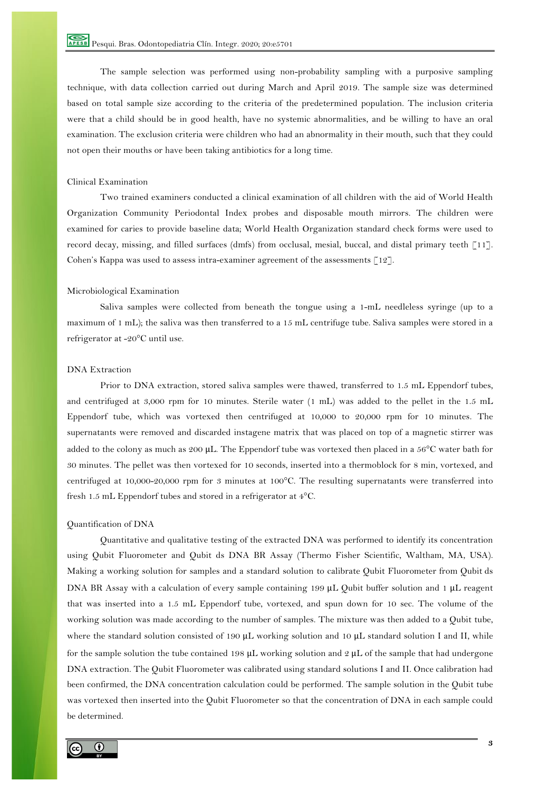The sample selection was performed using non-probability sampling with a purposive sampling technique, with data collection carried out during March and April 2019. The sample size was determined based on total sample size according to the criteria of the predetermined population. The inclusion criteria were that a child should be in good health, have no systemic abnormalities, and be willing to have an oral examination. The exclusion criteria were children who had an abnormality in their mouth, such that they could not open their mouths or have been taking antibiotics for a long time.

#### Clinical Examination

Two trained examiners conducted a clinical examination of all children with the aid of World Health Organization Community Periodontal Index probes and disposable mouth mirrors. The children were examined for caries to provide baseline data; World Health Organization standard check forms were used to record decay, missing, and filled surfaces (dmfs) from occlusal, mesial, buccal, and distal primary teeth  $\lceil 11 \rceil$ . Cohen's Kappa was used to assess intra-examiner agreement of the assessments [12].

#### Microbiological Examination

Saliva samples were collected from beneath the tongue using a 1-mL needleless syringe (up to a maximum of 1 mL); the saliva was then transferred to a 15 mL centrifuge tube. Saliva samples were stored in a refrigerator at -20°C until use.

#### DNA Extraction

Prior to DNA extraction, stored saliva samples were thawed, transferred to 1.5 mL Eppendorf tubes, and centrifuged at 3,000 rpm for 10 minutes. Sterile water (1 mL) was added to the pellet in the 1.5 mL Eppendorf tube, which was vortexed then centrifuged at 10,000 to 20,000 rpm for 10 minutes. The supernatants were removed and discarded instagene matrix that was placed on top of a magnetic stirrer was added to the colony as much as 200 μL. The Eppendorf tube was vortexed then placed in a 56°C water bath for 30 minutes. The pellet was then vortexed for 10 seconds, inserted into a thermoblock for 8 min, vortexed, and centrifuged at 10,000-20,000 rpm for 3 minutes at 100°C. The resulting supernatants were transferred into fresh 1.5 mL Eppendorf tubes and stored in a refrigerator at 4°C.

#### Quantification of DNA

Quantitative and qualitative testing of the extracted DNA was performed to identify its concentration using Qubit Fluorometer and Qubit ds DNA BR Assay (Thermo Fisher Scientific, Waltham, MA, USA). Making a working solution for samples and a standard solution to calibrate Qubit Fluorometer from Qubit ds DNA BR Assay with a calculation of every sample containing 199 μL Qubit buffer solution and 1 μL reagent that was inserted into a 1.5 mL Eppendorf tube, vortexed, and spun down for 10 sec. The volume of the working solution was made according to the number of samples. The mixture was then added to a Qubit tube, where the standard solution consisted of 190 μL working solution and 10 μL standard solution I and II, while for the sample solution the tube contained 198  $\mu$ L working solution and 2  $\mu$ L of the sample that had undergone DNA extraction. The Qubit Fluorometer was calibrated using standard solutions I and II. Once calibration had been confirmed, the DNA concentration calculation could be performed. The sample solution in the Qubit tube was vortexed then inserted into the Qubit Fluorometer so that the concentration of DNA in each sample could be determined.

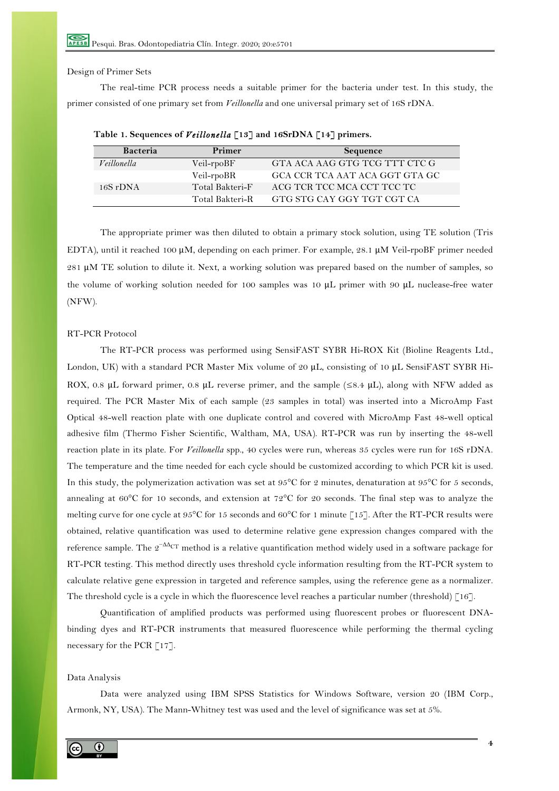#### Design of Primer Sets

The real-time PCR process needs a suitable primer for the bacteria under test. In this study, the primer consisted of one primary set from *Veillonella* and one universal primary set of 16S rDNA.

| <b>Bacteria</b> | Primer          | Sequence                       |
|-----------------|-----------------|--------------------------------|
| Veillonella     | Veil-rpoBF      | GTA ACA AAG GTG TCG TTT CTC G  |
|                 | Veil-rpoBR      | GCA CCR TCA AAT ACA GGT GTA GC |
| 16S rDNA        | Total Bakteri-F | ACG TCR TCC MCA CCT TCC TC     |
|                 | Total Bakteri-R | GTG STG CAY GGY TGT CGT CA     |

**Table 1. Sequences of** *Veillonella* **[13] and 16SrDNA [14] primers.**

The appropriate primer was then diluted to obtain a primary stock solution, using TE solution (Tris EDTA), until it reached 100 μM, depending on each primer. For example, 28.1 μM Veil-rpoBF primer needed 281 μM TE solution to dilute it. Next, a working solution was prepared based on the number of samples, so the volume of working solution needed for 100 samples was 10 μL primer with 90 μL nuclease-free water (NFW).

#### RT-PCR Protocol

The RT-PCR process was performed using SensiFAST SYBR Hi-ROX Kit (Bioline Reagents Ltd., London, UK) with a standard PCR Master Mix volume of 20 μL, consisting of 10 μL SensiFAST SYBR Hi-ROX, 0.8 μL forward primer, 0.8 μL reverse primer, and the sample  $(\leq 8.4 \text{ }\mu\text{L})$ , along with NFW added as required. The PCR Master Mix of each sample (23 samples in total) was inserted into a MicroAmp Fast Optical 48-well reaction plate with one duplicate control and covered with MicroAmp Fast 48-well optical adhesive film (Thermo Fisher Scientific, Waltham, MA, USA). RT-PCR was run by inserting the 48-well reaction plate in its plate. For *Veillonella* spp., 40 cycles were run, whereas 35 cycles were run for 16S rDNA. The temperature and the time needed for each cycle should be customized according to which PCR kit is used. In this study, the polymerization activation was set at  $95^{\circ}$ C for 2 minutes, denaturation at  $95^{\circ}$ C for 5 seconds, annealing at 60°C for 10 seconds, and extension at 72°C for 20 seconds. The final step was to analyze the melting curve for one cycle at 95°C for 15 seconds and 60°C for 1 minute [15]. After the RT-PCR results were obtained, relative quantification was used to determine relative gene expression changes compared with the reference sample. The  $2^{-\Delta\Delta_{CT}}$  method is a relative quantification method widely used in a software package for RT-PCR testing. This method directly uses threshold cycle information resulting from the RT-PCR system to calculate relative gene expression in targeted and reference samples, using the reference gene as a normalizer. The threshold cycle is a cycle in which the fluorescence level reaches a particular number (threshold) [16].

Quantification of amplified products was performed using fluorescent probes or fluorescent DNAbinding dyes and RT-PCR instruments that measured fluorescence while performing the thermal cycling necessary for the PCR [17].

#### Data Analysis

Data were analyzed using IBM SPSS Statistics for Windows Software, version 20 (IBM Corp., Armonk, NY, USA). The Mann-Whitney test was used and the level of significance was set at 5%.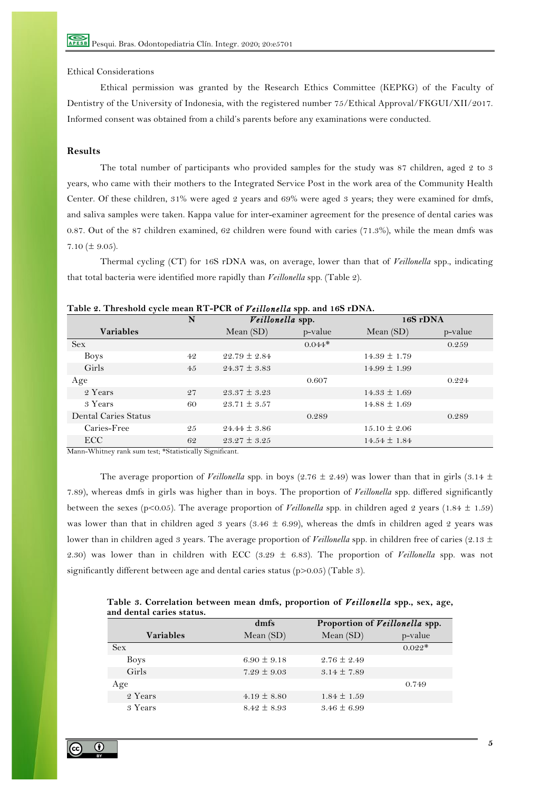# Ethical Considerations

Ethical permission was granted by the Research Ethics Committee (KEPKG) of the Faculty of Dentistry of the University of Indonesia, with the registered number 75/Ethical Approval/FKGUI/XII/2017. Informed consent was obtained from a child's parents before any examinations were conducted.

# **Results**

The total number of participants who provided samples for the study was 87 children, aged 2 to 3 years, who came with their mothers to the Integrated Service Post in the work area of the Community Health Center. Of these children, 31% were aged 2 years and 69% were aged 3 years; they were examined for dmfs, and saliva samples were taken. Kappa value for inter-examiner agreement for the presence of dental caries was 0.87. Out of the 87 children examined, 62 children were found with caries (71.3%), while the mean dmfs was 7.10 ( $\pm$  9.05).

Thermal cycling (CT) for 16S rDNA was, on average, lower than that of *Veillonella* spp., indicating that total bacteria were identified more rapidly than *Veillonella* spp. (Table 2).

|                                                     | N  | Veillonella spp. |          | 16S rDNA         |         |
|-----------------------------------------------------|----|------------------|----------|------------------|---------|
| <b>Variables</b>                                    |    | Mean $(SD)$      | p-value  | Mean $(SD)$      | p-value |
| <b>Sex</b>                                          |    |                  | $0.044*$ |                  | 0.259   |
| <b>Boys</b>                                         | 42 | $22.79 \pm 2.84$ |          | $14.39 \pm 1.79$ |         |
| Girls                                               | 45 | $24.37 \pm 3.83$ |          | $14.99 \pm 1.99$ |         |
| Age                                                 |    |                  | 0.607    |                  | 0.224   |
| 2 Years                                             | 27 | $23.37 \pm 3.23$ |          | $14.33 \pm 1.69$ |         |
| 3 Years                                             | 60 | $23.71 \pm 3.57$ |          | $14.88 \pm 1.69$ |         |
| Dental Caries Status                                |    |                  | 0.289    |                  | 0.289   |
| Caries-Free                                         | 25 | $24.44 \pm 3.86$ |          | $15.10 \pm 2.06$ |         |
| ECC<br>$\mathbf{v}$<br>$X \times Y$<br>$\mathbf{r}$ | 62 | $23.27 \pm 3.25$ |          | $14.54 \pm 1.84$ |         |

#### **Table 2. Threshold cycle mean RT-PCR of** *Veillonella* **spp. and 16S rDNA.**

Mann-Whitney rank sum test; \*Statistically Significant.

The average proportion of *Veillonella* spp. in boys (2.76  $\pm$  2.49) was lower than that in girls (3.14  $\pm$ 7.89), whereas dmfs in girls was higher than in boys. The proportion of *Veillonella* spp. differed significantly between the sexes (p<0.05). The average proportion of *Veillonella* spp. in children aged 2 years (1.84  $\pm$  1.59) was lower than that in children aged 3 years (3.46  $\pm$  6.99), whereas the dmfs in children aged 2 years was lower than in children aged 3 years. The average proportion of *Veillonella* spp. in children free of caries (2.13  $\pm$ 2.30) was lower than in children with ECC (3.29 ± 6.83). The proportion of *Veillonella* spp. was not significantly different between age and dental caries status  $(p>0.05)$  (Table 3).

| Table 3. Correlation between mean dmfs, proportion of Veillonella spp., sex, age, |  |  |
|-----------------------------------------------------------------------------------|--|--|
| and dental caries status.                                                         |  |  |

|                  | dmfs            | Proportion of Veillonella spp. |          |
|------------------|-----------------|--------------------------------|----------|
| <b>Variables</b> | Mean $(SD)$     | Mean $(SD)$                    | p-value  |
| <b>Sex</b>       |                 |                                | $0.022*$ |
| Boys             | $6.90 \pm 9.18$ | $2.76 \pm 2.49$                |          |
| Girls            | $7.29 \pm 9.03$ | $3.14 \pm 7.89$                |          |
| Age              |                 |                                | 0.749    |
| 2 Years          | $4.19 \pm 8.80$ | $1.84 \pm 1.59$                |          |
| 3 Years          | $8.42 \pm 8.93$ | $3.46 \pm 6.99$                |          |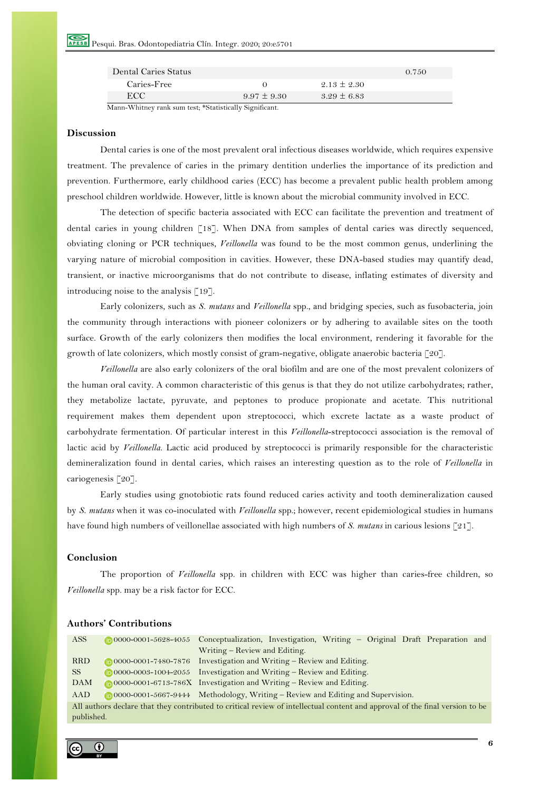| Dental Caries Status |                 |                 | 0.750 |
|----------------------|-----------------|-----------------|-------|
| Caries-Free          |                 | $2.13 \pm 2.30$ |       |
| ECC.                 | $9.97 \pm 9.30$ | $3.29 \pm 6.83$ |       |

Mann-Whitney rank sum test; \*Statistically Significant.

# **Discussion**

Dental caries is one of the most prevalent oral infectious diseases worldwide, which requires expensive treatment. The prevalence of caries in the primary dentition underlies the importance of its prediction and prevention. Furthermore, early childhood caries (ECC) has become a prevalent public health problem among preschool children worldwide. However, little is known about the microbial community involved in ECC.

The detection of specific bacteria associated with ECC can facilitate the prevention and treatment of dental caries in young children [18]. When DNA from samples of dental caries was directly sequenced, obviating cloning or PCR techniques, *Veillonella* was found to be the most common genus, underlining the varying nature of microbial composition in cavities. However, these DNA-based studies may quantify dead, transient, or inactive microorganisms that do not contribute to disease, inflating estimates of diversity and introducing noise to the analysis [19].

Early colonizers, such as *S*. *mutans* and *Veillonella* spp., and bridging species, such as fusobacteria, join the community through interactions with pioneer colonizers or by adhering to available sites on the tooth surface. Growth of the early colonizers then modifies the local environment, rendering it favorable for the growth of late colonizers, which mostly consist of gram-negative, obligate anaerobic bacteria [20].

*Veillonella* are also early colonizers of the oral biofilm and are one of the most prevalent colonizers of the human oral cavity. A common characteristic of this genus is that they do not utilize carbohydrates; rather, they metabolize lactate, pyruvate, and peptones to produce propionate and acetate. This nutritional requirement makes them dependent upon streptococci, which excrete lactate as a waste product of carbohydrate fermentation. Of particular interest in this *Veillonella*-streptococci association is the removal of lactic acid by *Veillonella*. Lactic acid produced by streptococci is primarily responsible for the characteristic demineralization found in dental caries, which raises an interesting question as to the role of *Veillonella* in cariogenesis [20].

Early studies using gnotobiotic rats found reduced caries activity and tooth demineralization caused by *S*. *mutans* when it was co-inoculated with *Veillonella* spp.; however, recent epidemiological studies in humans have found high numbers of veillonellae associated with high numbers of *S*. *mutans* in carious lesions [21].

# **Conclusion**

The proportion of *Veillonella* spp. in children with ECC was higher than caries-free children, so *Veillonella* spp. may be a risk factor for ECC.

# **Authors' Contributions**

| <b>ASS</b>                                                                                                                   |  | 0000-0001-5628-4055 Conceptualization, Investigation, Writing - Original Draft Preparation and |
|------------------------------------------------------------------------------------------------------------------------------|--|------------------------------------------------------------------------------------------------|
|                                                                                                                              |  | Writing – Review and Editing.                                                                  |
| <b>RRD</b>                                                                                                                   |  | 0000-0001-7480-7876 Investigation and Writing – Review and Editing.                            |
| SS -                                                                                                                         |  | $\Box$ 0000-0003-1004-2055 Investigation and Writing – Review and Editing.                     |
| DAM                                                                                                                          |  | 0000-0001-6713-786X Investigation and Writing – Review and Editing.                            |
| AAD                                                                                                                          |  | 0000-0001-5667-9444 Methodology, Writing – Review and Editing and Supervision.                 |
| All authors declare that they contributed to critical review of intellectual content and approval of the final version to be |  |                                                                                                |
| published.                                                                                                                   |  |                                                                                                |

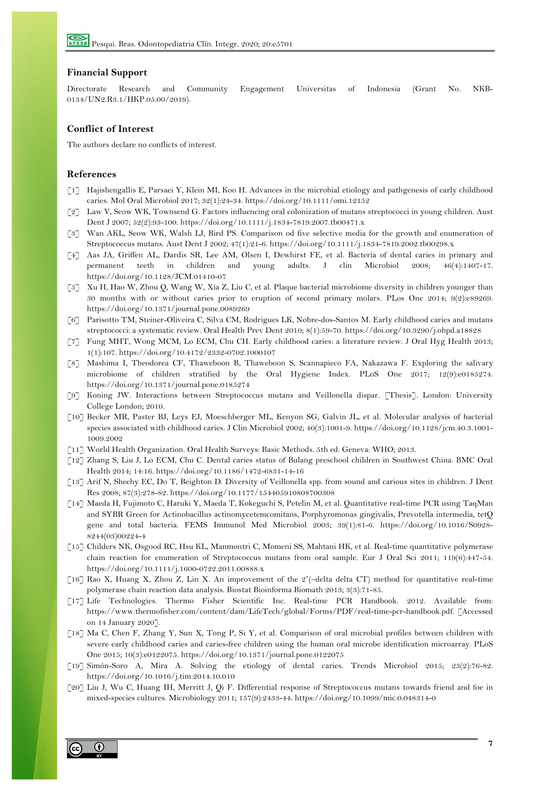## **Financial Support**

Directorate Research and Community Engagement Universitas of Indonesia (Grant No. NKB-0134/UN2.R3.1/HKP.05.00/2019).

## **Conflict of Interest**

The authors declare no conflicts of interest.

## **References**

- [1] Hajishengallis E, Parsaei Y, Klein MI, Koo H. Advances in the microbial etiology and pathgenesis of early childhood caries. Mol Oral Microbiol 2017; 32(1):24-34. https://doi.org/10.1111/omi.12152
- [2] Law V, Seow WK, Townsend G. Factors influencing oral colonization of mutans streptococci in young children. Aust Dent J 2007; 52(2):93-100. https://doi.org/10.1111/j.1834-7819.2007.tb00471.x
- [3] Wan AKL, Seow WK, Walsh LJ, Bird PS. Comparison od five selective media for the growth and enumeration of Streptococcus mutans. Aust Dent J 2002; 47(1):21-6. https://doi.org/10.1111/j.1834-7819.2002.tb00298.x
- [4] Aas JA, Griffen AL, Dardis SR, Lee AM, Olsen I, Dewhirst FE, et al. Bacteria of dental caries in primary and permanent teeth in children and young adults. J clin Microbiol 2008; 46(4):1407-17. https://doi.org/10.1128/JCM.01410-07
- [5] Xu H, Hao W, Zhou Q, Wang W, Xia Z, Liu C, et al. Plaque bacterial microbiome diversity in children younger than 30 months with or without caries prior to eruption of second primary molars. PLos One 2014; 9(2):e89269. https://doi.org/10.1371/journal.pone.0089269
- [6] Parisotto TM, Steiner-Oliveira C, Silva CM, Rodrigues LK, Nobre-dos-Santos M. Early childhood caries and mutans streptococci: a systematic review. Oral Health Prev Dent 2010; 8(1):59-70. https://doi.org/10.3290/j.ohpd.a18828
- [7] Fung MHT, Wong MCM, Lo ECM, Chu CH. Early childhood caries: a literature review. J Oral Hyg Health 2013; 1(1):107. https://doi.org/10.4172/2332-0702.1000107
- [8] Mashima I, Theodorea CF, Thaweboon B, Thaweboon S, Scannapieco FA, Nakazawa F. Exploring the salivary microbiome of children stratified by the Oral Hygiene Index. PLoS One 2017; 12(9):e0185274. https://doi.org/10.1371/journal.pone.0185274
- [9] Koning JW. Interactions between Streptococcus mutans and Veillonella dispar. [Thesis]. London: University College London; 2010.
- [10] Becker MR, Paster BJ, Leys EJ, Moeschberger ML, Kenyon SG, Galvin JL, et al. Molecular analysis of bacterial species associated with childhood caries. J Clin Microbiol 2002; 40(3):1001-9. https://doi.org/10.1128/jcm.40.3.1001- 1009.2002
- [11] World Health Organization. Oral Health Surveys: Basic Methods. 5th ed. Geneva: WHO; 2013.
- [12] Zhang S, Liu J, Lo ECM, Chu C. Dental caries status of Bulang preschool children in Southwest China. BMC Oral Health 2014; 14:16. https://doi.org/10.1186/1472-6831-14-16
- [13] Arif N, Sheehy EC, Do T, Beighton D. Diversity of Veillonella spp. from sound and carious sites in children. J Dent Res 2008; 87(3):278-82. https://doi.org/10.1177/154405910808700308
- [14] Maeda H, Fujimoto C, Haruki Y, Maeda T, Kokeguchi S, Petelin M, et al. Quantitative real-time PCR using TaqMan and SYBR Green for Actinobacillus actinomycetemcomitans, Porphyromonas gingivalis, Prevotella intermedia, tetQ gene and total bacteria. FEMS Immunol Med Microbiol 2003; 39(1):81-6. https://doi.org/10.1016/S0928- 8244(03)00224-4
- [15] Childers NK, Osgood RC, Hsu KL, Manmontri C, Momeni SS, Mahtani HK, et al. Real-time quantitative polymerase chain reaction for enumeration of Streptococcus mutans from oral sample. Eur J Oral Sci 2011; 119(6):447-54. https://doi.org/10.1111/j.1600-0722.2011.00888.x
- [16] Rao X, Huang X, Zhou Z, Lin X. An improvement of the 2ˆ(–delta delta CT) method for quantitative real-time polymerase chain reaction data analysis. Biostat Bioinforma Biomath 2013; 3(3):71-85.
- [17] Life Technologies. Thermo Fisher Scientific Inc. Real-time PCR Handbook. 2012. Available from: https://www.thermofisher.com/content/dam/LifeTech/global/Forms/PDF/real-time-pcr-handbook.pdf. [Accessed on 14 January 2020].
- [18] Ma C, Chen F, Zhang Y, Sun X, Tong P, Si Y, et al. Comparison of oral microbial profiles between children with severe early childhood caries and caries-free children using the human oral microbe identification microarray. PLoS One 2015; 10(3):e0122075. https://doi.org/10.1371/journal.pone.0122075
- [19] Simón-Soro A, Mira A. Solving the etiology of dental caries. Trends Microbiol 2015; 23(2):76-82. https://doi.org/10.1016/j.tim.2014.10.010
- [20] Liu J, Wu C, Huang IH, Merritt J, Qi F. Differential response of Streptococcus mutans towards friend and foe in mixed-species cultures. Microbiology 2011; 157(9):2433-44. https://doi.org/10.1099/mic.0.048314-0